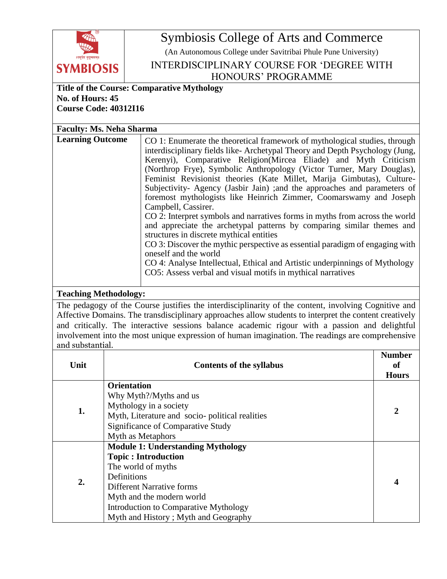

Symbiosis College of Arts and Commerce

(An Autonomous College under Savitribai Phule Pune University)

INTERDISCIPLINARY COURSE FOR 'DEGREE WITH HONOURS' PROGRAMME

## **Title of the Course: Comparative Mythology No. of Hours: 45 Course Code: 40312I16**

**Faculty: Ms. Neha Sharma Learning Outcome** CO 1: Enumerate the theoretical framework of mythological studies, through interdisciplinary fields like- Archetypal Theory and Depth Psychology (Jung, Kerenyi), Comparative Religion(Mircea Eliade) and Myth Criticism (Northrop Frye), Symbolic Anthropology (Victor Turner, Mary Douglas), Feminist Revisionist theories (Kate Millet, Marija Gimbutas), Culture-Subjectivity- Agency (Jasbir Jain) ;and the approaches and parameters of foremost mythologists like Heinrich Zimmer, Coomarswamy and Joseph Campbell, Cassirer. CO 2: Interpret symbols and narratives forms in myths from across the world and appreciate the archetypal patterns by comparing similar themes and structures in discrete mythical entities CO 3: Discover the mythic perspective as essential paradigm of engaging with oneself and the world CO 4: Analyse Intellectual, Ethical and Artistic underpinnings of Mythology CO5: Assess verbal and visual motifs in mythical narratives

## **Teaching Methodology:**

The pedagogy of the Course justifies the interdisciplinarity of the content, involving Cognitive and Affective Domains. The transdisciplinary approaches allow students to interpret the content creatively and critically. The interactive sessions balance academic rigour with a passion and delightful involvement into the most unique expression of human imagination. The readings are comprehensive and substantial.

| Unit | <b>Contents of the syllabus</b>                                                                                                                                                                                                                               | <b>Number</b><br><sub>of</sub><br><b>Hours</b> |
|------|---------------------------------------------------------------------------------------------------------------------------------------------------------------------------------------------------------------------------------------------------------------|------------------------------------------------|
| 1.   | <b>Orientation</b><br>Why Myth?/Myths and us                                                                                                                                                                                                                  | 2                                              |
|      | Mythology in a society<br>Myth, Literature and socio-political realities<br><b>Significance of Comparative Study</b><br>Myth as Metaphors                                                                                                                     |                                                |
| 2.   | <b>Module 1: Understanding Mythology</b><br><b>Topic: Introduction</b><br>The world of myths<br>Definitions<br><b>Different Narrative forms</b><br>Myth and the modern world<br>Introduction to Comparative Mythology<br>Myth and History; Myth and Geography |                                                |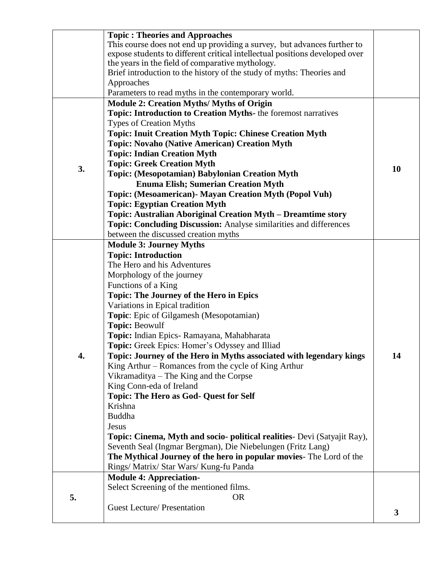|    | <b>Topic: Theories and Approaches</b>                                       |    |
|----|-----------------------------------------------------------------------------|----|
|    | This course does not end up providing a survey, but advances further to     |    |
|    | expose students to different critical intellectual positions developed over |    |
|    |                                                                             |    |
|    | the years in the field of comparative mythology.                            |    |
|    | Brief introduction to the history of the study of myths: Theories and       |    |
|    | Approaches                                                                  |    |
|    | Parameters to read myths in the contemporary world.                         |    |
|    | <b>Module 2: Creation Myths/ Myths of Origin</b>                            |    |
|    | Topic: Introduction to Creation Myths- the foremost narratives              |    |
|    |                                                                             |    |
|    | <b>Types of Creation Myths</b>                                              |    |
|    | <b>Topic: Inuit Creation Myth Topic: Chinese Creation Myth</b>              |    |
|    | <b>Topic: Novaho (Native American) Creation Myth</b>                        |    |
|    | <b>Topic: Indian Creation Myth</b>                                          |    |
|    | <b>Topic: Greek Creation Myth</b>                                           |    |
| 3. | <b>Topic: (Mesopotamian) Babylonian Creation Myth</b>                       | 10 |
|    |                                                                             |    |
|    | <b>Enuma Elish; Sumerian Creation Myth</b>                                  |    |
|    | Topic: (Mesoamerican) - Mayan Creation Myth (Popol Vuh)                     |    |
|    | <b>Topic: Egyptian Creation Myth</b>                                        |    |
|    | Topic: Australian Aboriginal Creation Myth - Dreamtime story                |    |
|    | <b>Topic: Concluding Discussion:</b> Analyse similarities and differences   |    |
|    | between the discussed creation myths                                        |    |
|    |                                                                             |    |
|    | <b>Module 3: Journey Myths</b>                                              |    |
|    | <b>Topic: Introduction</b>                                                  |    |
|    | The Hero and his Adventures                                                 |    |
|    | Morphology of the journey                                                   |    |
|    | Functions of a King                                                         |    |
|    | <b>Topic: The Journey of the Hero in Epics</b>                              |    |
|    | Variations in Epical tradition                                              |    |
|    |                                                                             |    |
|    | Topic: Epic of Gilgamesh (Mesopotamian)                                     |    |
|    | <b>Topic: Beowulf</b>                                                       |    |
|    | Topic: Indian Epics- Ramayana, Mahabharata                                  |    |
|    | Topic: Greek Epics: Homer's Odyssey and Illiad                              |    |
| 4  | Topic: Journey of the Hero in Myths associated with legendary kings         | 14 |
|    | King Arthur – Romances from the cycle of King Arthur                        |    |
|    |                                                                             |    |
|    | Vikramaditya – The King and the Corpse                                      |    |
|    | King Conn-eda of Ireland                                                    |    |
|    | <b>Topic: The Hero as God- Quest for Self</b>                               |    |
|    | Krishna                                                                     |    |
|    | Buddha                                                                      |    |
|    | Jesus                                                                       |    |
|    | Topic: Cinema, Myth and socio- political realities- Devi (Satyajit Ray),    |    |
|    |                                                                             |    |
|    | Seventh Seal (Ingmar Bergman), Die Niebelungen (Fritz Lang)                 |    |
|    | The Mythical Journey of the hero in popular movies- The Lord of the         |    |
|    | Rings/ Matrix/ Star Wars/ Kung-fu Panda                                     |    |
|    | <b>Module 4: Appreciation-</b>                                              |    |
|    | Select Screening of the mentioned films.                                    |    |
| 5. | <b>OR</b>                                                                   |    |
|    | <b>Guest Lecture/ Presentation</b>                                          |    |
|    |                                                                             | 3  |
|    |                                                                             |    |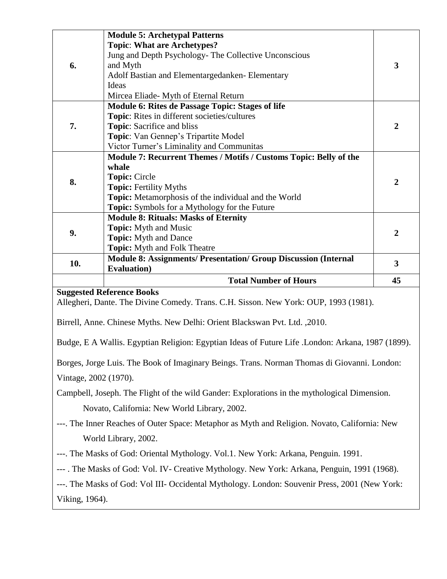|     | <b>Module 5: Archetypal Patterns</b>                                   |                |
|-----|------------------------------------------------------------------------|----------------|
| 6.  | <b>Topic: What are Archetypes?</b>                                     | 3              |
|     | Jung and Depth Psychology- The Collective Unconscious                  |                |
|     | and Myth                                                               |                |
|     | Adolf Bastian and Elementargedanken-Elementary                         |                |
|     | Ideas                                                                  |                |
| 7.  | Mircea Eliade- Myth of Eternal Return                                  |                |
|     | Module 6: Rites de Passage Topic: Stages of life                       |                |
|     | Topic: Rites in different societies/cultures                           | $\overline{2}$ |
|     | <b>Topic:</b> Sacrifice and bliss                                      |                |
|     | Topic: Van Gennep's Tripartite Model                                   |                |
| 8.  | Victor Turner's Liminality and Communitas                              |                |
|     | Module 7: Recurrent Themes / Motifs / Customs Topic: Belly of the      |                |
|     | whale                                                                  | $\overline{2}$ |
|     | <b>Topic: Circle</b>                                                   |                |
|     | <b>Topic: Fertility Myths</b>                                          |                |
|     | Topic: Metamorphosis of the individual and the World                   |                |
|     | <b>Topic:</b> Symbols for a Mythology for the Future                   |                |
| 9.  | <b>Module 8: Rituals: Masks of Eternity</b>                            |                |
|     | <b>Topic:</b> Myth and Music                                           | $\overline{2}$ |
|     | <b>Topic:</b> Myth and Dance                                           |                |
| 10. | <b>Topic:</b> Myth and Folk Theatre                                    | 3              |
|     | <b>Module 8: Assignments/ Presentation/ Group Discussion (Internal</b> |                |
|     | <b>Evaluation</b> )                                                    |                |
|     | <b>Total Number of Hours</b>                                           | 45             |

Allegheri, Dante. The Divine Comedy. Trans. C.H. Sisson. New York: OUP, 1993 (1981).

Birrell, Anne. Chinese Myths. New Delhi: Orient Blackswan Pvt. Ltd. ,2010.

Budge, E A Wallis. Egyptian Religion: Egyptian Ideas of Future Life .London: Arkana, 1987 (1899).

Borges, Jorge Luis. The Book of Imaginary Beings. Trans. Norman Thomas di Giovanni. London: Vintage, 2002 (1970).

Campbell, Joseph. The Flight of the wild Gander: Explorations in the mythological Dimension.

Novato, California: New World Library, 2002.

---. The Inner Reaches of Outer Space: Metaphor as Myth and Religion. Novato, California: New World Library, 2002.

---. The Masks of God: Oriental Mythology. Vol.1. New York: Arkana, Penguin. 1991.

--- . The Masks of God: Vol. IV- Creative Mythology. New York: Arkana, Penguin, 1991 (1968).

---. The Masks of God: Vol III- Occidental Mythology. London: Souvenir Press, 2001 (New York:

Viking, 1964).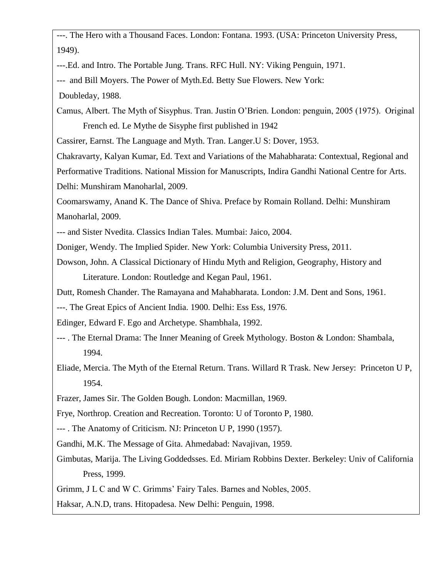---. The Hero with a Thousand Faces. London: Fontana. 1993. (USA: Princeton University Press, 1949).

---.Ed. and Intro. The Portable Jung. Trans. RFC Hull. NY: Viking Penguin, 1971.

--- and Bill Moyers. The Power of Myth.Ed. Betty Sue Flowers. New York:

Doubleday, 1988.

Camus, Albert. The Myth of Sisyphus. Tran. Justin O'Brien. London: penguin, 2005 (1975). Original French ed. Le Mythe de Sisyphe first published in 1942

Cassirer, Earnst. The Language and Myth. Tran. Langer.U S: Dover, 1953.

Chakravarty, Kalyan Kumar, Ed. Text and Variations of the Mahabharata: Contextual, Regional and Performative Traditions. National Mission for Manuscripts, Indira Gandhi National Centre for Arts. Delhi: Munshiram Manoharlal, 2009.

Coomarswamy, Anand K. The Dance of Shiva. Preface by Romain Rolland. Delhi: Munshiram Manoharlal, 2009.

--- and Sister Nvedita. Classics Indian Tales. Mumbai: Jaico, 2004.

Doniger, Wendy. The Implied Spider. New York: Columbia University Press, 2011.

Dowson, John. A Classical Dictionary of Hindu Myth and Religion, Geography, History and Literature. London: Routledge and Kegan Paul, 1961.

Dutt, Romesh Chander. The Ramayana and Mahabharata. London: J.M. Dent and Sons, 1961.

---. The Great Epics of Ancient India. 1900. Delhi: Ess Ess, 1976.

Edinger, Edward F. Ego and Archetype. Shambhala, 1992.

- --- . The Eternal Drama: The Inner Meaning of Greek Mythology. Boston & London: Shambala, 1994.
- Eliade, Mercia. The Myth of the Eternal Return. Trans. Willard R Trask. New Jersey: Princeton U P, 1954.

Frazer, James Sir. The Golden Bough. London: Macmillan, 1969.

Frye, Northrop. Creation and Recreation. Toronto: U of Toronto P, 1980.

--- . The Anatomy of Criticism. NJ: Princeton U P, 1990 (1957).

Gandhi, M.K. The Message of Gita. Ahmedabad: Navajivan, 1959.

Gimbutas, Marija. The Living Goddedsses. Ed. Miriam Robbins Dexter. Berkeley: Univ of California Press, 1999.

Grimm, J L C and W C. Grimms' Fairy Tales. Barnes and Nobles, 2005.

Haksar, A.N.D, trans. Hitopadesa. New Delhi: Penguin, 1998.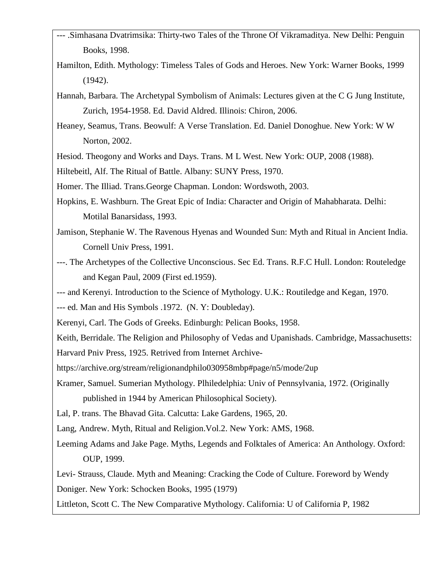- --- .Simhasana Dvatrimsika: Thirty-two Tales of the Throne Of Vikramaditya. New Delhi: Penguin Books, 1998.
- Hamilton, Edith. Mythology: Timeless Tales of Gods and Heroes. New York: Warner Books, 1999 (1942).
- Hannah, Barbara. The Archetypal Symbolism of Animals: Lectures given at the C G Jung Institute, Zurich, 1954-1958. Ed. David Aldred. Illinois: Chiron, 2006.
- Heaney, Seamus, Trans. Beowulf: A Verse Translation. Ed. Daniel Donoghue. New York: W W Norton, 2002.
- Hesiod. Theogony and Works and Days. Trans. M L West. New York: OUP, 2008 (1988).
- Hiltebeitl, Alf. The Ritual of Battle. Albany: SUNY Press, 1970.
- Homer. The Illiad. Trans.George Chapman. London: Wordswoth, 2003.
- Hopkins, E. Washburn. The Great Epic of India: Character and Origin of Mahabharata. Delhi: Motilal Banarsidass, 1993.
- Jamison, Stephanie W. The Ravenous Hyenas and Wounded Sun: Myth and Ritual in Ancient India. Cornell Univ Press, 1991.
- ---. The Archetypes of the Collective Unconscious. Sec Ed. Trans. R.F.C Hull. London: Routeledge and Kegan Paul, 2009 (First ed.1959).
- --- and Kerenyi. Introduction to the Science of Mythology. U.K.: Routiledge and Kegan, 1970.
- --- ed. Man and His Symbols .1972. (N. Y: Doubleday).
- Kerenyi, Carl. The Gods of Greeks. Edinburgh: Pelican Books, 1958.

Keith, Berridale. The Religion and Philosophy of Vedas and Upanishads. Cambridge, Massachusetts:

- Harvard Pniv Press, 1925. Retrived from Internet Archive-
- https://archive.org/stream/religionandphilo030958mbp#page/n5/mode/2up
- Kramer, Samuel. Sumerian Mythology. Plhiledelphia: Univ of Pennsylvania, 1972. (Originally published in 1944 by American Philosophical Society).
- Lal, P. trans. The Bhavad Gita. Calcutta: Lake Gardens, 1965, 20.
- Lang, Andrew. Myth, Ritual and Religion.Vol.2. New York: AMS, 1968.
- Leeming Adams and Jake Page. Myths, Legends and Folktales of America: An Anthology. Oxford: OUP, 1999.

Levi- Strauss, Claude. Myth and Meaning: Cracking the Code of Culture. Foreword by Wendy Doniger. New York: Schocken Books, 1995 (1979)

Littleton, Scott C. The New Comparative Mythology. California: U of California P, 1982